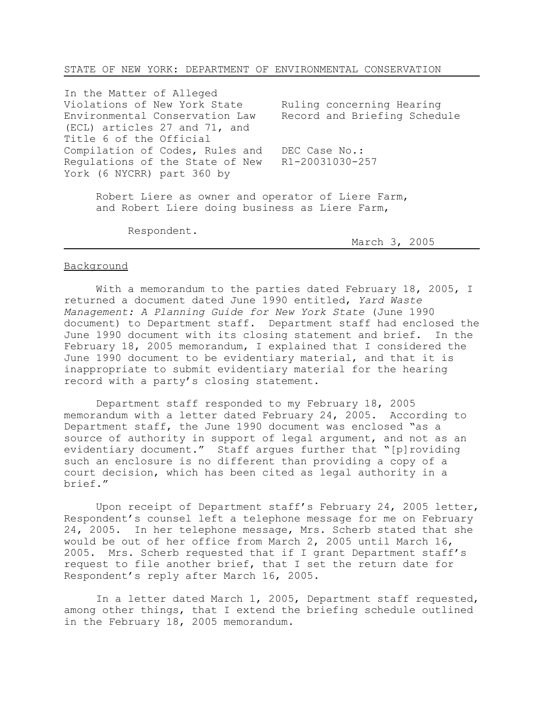## STATE OF NEW YORK: DEPARTMENT OF ENVIRONMENTAL CONSERVATION

In the Matter of Alleged Violations of New York State Environmental Conservation Law (ECL) articles 27 and 71, and Title 6 of the Official Compilation of Codes, Rules and Regulations of the State of New York (6 NYCRR) part 360 by Ruling concerning Hearing Record and Briefing Schedule DEC Case No.: R1-20031030-257

Robert Liere as owner and operator of Liere Farm, and Robert Liere doing business as Liere Farm,

Respondent.

March 3, 2005

## Background

With a memorandum to the parties dated February 18, 2005, I returned a document dated June 1990 entitled, *Yard Waste Management: A Planning Guide for New York State* (June 1990 document) to Department staff. Department staff had enclosed the June 1990 document with its closing statement and brief. In the February 18, 2005 memorandum, I explained that I considered the June 1990 document to be evidentiary material, and that it is inappropriate to submit evidentiary material for the hearing record with a party's closing statement.

Department staff responded to my February 18, 2005 memorandum with a letter dated February 24, 2005. According to Department staff, the June 1990 document was enclosed "as a source of authority in support of legal argument, and not as an evidentiary document." Staff argues further that "[p]roviding such an enclosure is no different than providing a copy of a court decision, which has been cited as legal authority in a brief."

Upon receipt of Department staff's February 24, 2005 letter, Respondent's counsel left a telephone message for me on February 24, 2005. In her telephone message, Mrs. Scherb stated that she would be out of her office from March 2, 2005 until March 16, 2005. Mrs. Scherb requested that if I grant Department staff's request to file another brief, that I set the return date for Respondent's reply after March 16, 2005.

In a letter dated March 1, 2005, Department staff requested, among other things, that I extend the briefing schedule outlined in the February 18, 2005 memorandum.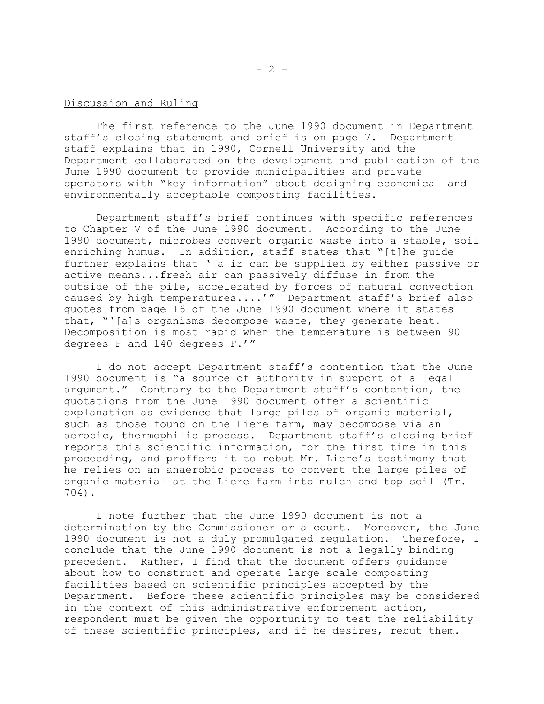## Discussion and Ruling

The first reference to the June 1990 document in Department staff's closing statement and brief is on page 7. Department staff explains that in 1990, Cornell University and the Department collaborated on the development and publication of the June 1990 document to provide municipalities and private operators with "key information" about designing economical and environmentally acceptable composting facilities.

Department staff's brief continues with specific references to Chapter V of the June 1990 document. According to the June 1990 document, microbes convert organic waste into a stable, soil enriching humus. In addition, staff states that "[t]he guide further explains that '[a]ir can be supplied by either passive or active means...fresh air can passively diffuse in from the outside of the pile, accelerated by forces of natural convection caused by high temperatures....'" Department staff's brief also quotes from page 16 of the June 1990 document where it states that, "'[a]s organisms decompose waste, they generate heat. Decomposition is most rapid when the temperature is between 90 degrees F and 140 degrees F.'"

I do not accept Department staff's contention that the June 1990 document is "a source of authority in support of a legal argument." Contrary to the Department staff's contention, the quotations from the June 1990 document offer a scientific explanation as evidence that large piles of organic material, such as those found on the Liere farm, may decompose via an aerobic, thermophilic process. Department staff's closing brief reports this scientific information, for the first time in this proceeding, and proffers it to rebut Mr. Liere's testimony that he relies on an anaerobic process to convert the large piles of organic material at the Liere farm into mulch and top soil (Tr. 704).

I note further that the June 1990 document is not a determination by the Commissioner or a court. Moreover, the June 1990 document is not a duly promulgated regulation. Therefore, I conclude that the June 1990 document is not a legally binding precedent. Rather, I find that the document offers guidance about how to construct and operate large scale composting facilities based on scientific principles accepted by the Department. Before these scientific principles may be considered in the context of this administrative enforcement action, respondent must be given the opportunity to test the reliability of these scientific principles, and if he desires, rebut them.